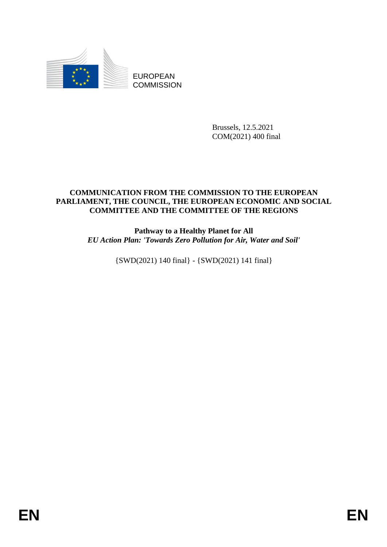

EUROPEAN **COMMISSION** 

> Brussels, 12.5.2021 COM(2021) 400 final

# **COMMUNICATION FROM THE COMMISSION TO THE EUROPEAN PARLIAMENT, THE COUNCIL, THE EUROPEAN ECONOMIC AND SOCIAL COMMITTEE AND THE COMMITTEE OF THE REGIONS**

**Pathway to a Healthy Planet for All**  *EU Action Plan: 'Towards Zero Pollution for Air, Water and Soil'*

{SWD(2021) 140 final} - {SWD(2021) 141 final}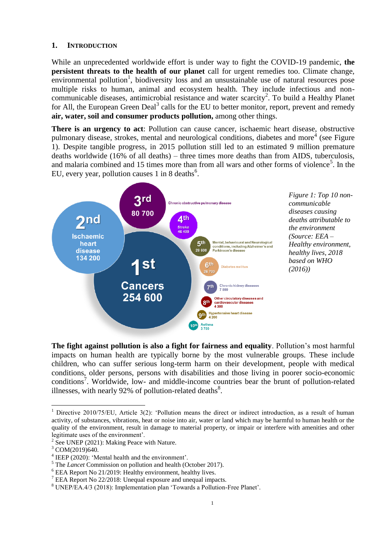#### **1. INTRODUCTION**

While an unprecedented worldwide effort is under way to fight the COVID-19 pandemic, **the persistent threats to the health of our planet** call for urgent remedies too. Climate change, environmental pollution<sup>1</sup>, biodiversity loss and an unsustainable use of natural resources pose multiple risks to human, animal and ecosystem health. They include infectious and noncommunicable diseases, antimicrobial resistance and water scarcity<sup>2</sup>. To build a Healthy Planet for All, the European Green Deal<sup>3</sup> calls for the EU to better monitor, report, prevent and remedy **air, water, soil and consumer products pollution,** among other things.

**There is an urgency to act**: Pollution can cause cancer, ischaemic heart disease, obstructive pulmonary disease, strokes, mental and neurological conditions, diabetes and more<sup>4</sup> (see Figure 1). Despite tangible progress, in 2015 pollution still led to an estimated 9 million premature deaths worldwide (16% of all deaths) – three times more deaths than from AIDS, tuberculosis, and malaria combined and 15 times more than from all wars and other forms of violence<sup>5</sup>. In the EU, every year, pollution causes 1 in 8 deaths<sup>6</sup>.



*Figure 1: Top 10 noncommunicable diseases causing deaths attributable to the environment (Source: EEA – Healthy environment, healthy lives, 2018 based on WHO (2016))*

**The fight against pollution is also a fight for fairness and equality**. Pollution's most harmful impacts on human health are typically borne by the most vulnerable groups. These include children, who can suffer serious long-term harm on their development, people with medical conditions, older persons, persons with disabilities and those living in poorer socio-economic conditions<sup>7</sup>. Worldwide, low- and middle-income countries bear the brunt of pollution-related illnesses, with nearly 92% of pollution-related deaths $^{8}$ .

<sup>&</sup>lt;sup>1</sup> Directive 2010/75/EU, Article 3(2): 'Pollution means the direct or indirect introduction, as a result of human activity, of substances, vibrations, heat or noise into air, water or land which may be harmful to human health or the quality of the environment, result in damage to material property, or impair or interfere with amenities and other legitimate uses of the environment'.

<sup>2</sup> See UNEP (2021): Making Peace with Nature.

<sup>&</sup>lt;sup>3</sup> COM(2019)640.

<sup>&</sup>lt;sup>4</sup> [IEEP \(2020\):](https://ieep.eu/publications/mental-health-and-the-environment-environmental-degradation-s-impact-on-mental-health-and-wellbeing) 'Mental health and the environment'.

<sup>5</sup> The *Lancet* Commission on pollution and health (October 2017).

<sup>6</sup> EEA Report No 21/2019: Healthy environment, healthy lives.

<sup>7</sup> EEA Report No 22/2018: Unequal exposure and unequal impacts.

<sup>8</sup> UNEP/EA.4/3 (2018): Implementation plan 'Towards a Pollution-Free Planet'.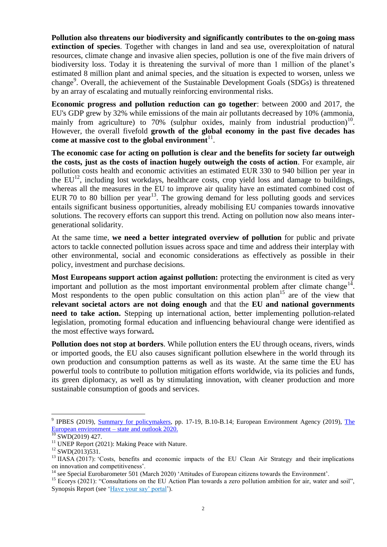**Pollution also threatens our biodiversity and significantly contributes to the on-going mass extinction of species**. Together with changes in land and sea use, overexploitation of natural resources, climate change and invasive alien species, pollution is one of the five main drivers of biodiversity loss. Today it is threatening the survival of more than 1 million of the planet's estimated 8 million plant and animal species, and the situation is expected to worsen, unless we change<sup>9</sup>. Overall, the achievement of the Sustainable Development Goals (SDGs) is threatened by an array of escalating and mutually reinforcing environmental risks.

**Economic progress and pollution reduction can go together**: between 2000 and 2017, the EU's GDP grew by 32% while emissions of the main air pollutants decreased by 10% (ammonia, mainly from agriculture) to  $70\%$  (sulphur oxides, mainly from industrial production)<sup>10</sup>. However, the overall fivefold **growth of the global economy in the past five decades has**  come at massive cost to the global environment<sup>11</sup>.

**The economic case for acting on pollution is clear and the benefits for society far outweigh the costs, just as the costs of inaction hugely outweigh the costs of action**. For example, air pollution costs health and economic activities an estimated EUR 330 to 940 billion per year in the  $EU^{12}$ , including lost workdays, healthcare costs, crop yield loss and damage to buildings, whereas all the measures in the EU to improve air quality have an estimated combined cost of EUR 70 to 80 billion per year<sup>13</sup>. The growing demand for less polluting goods and services entails significant business opportunities, already mobilising EU companies towards innovative solutions. The recovery efforts can support this trend. Acting on pollution now also means intergenerational solidarity.

At the same time, **we need a better integrated overview of pollution** for public and private actors to tackle connected pollution issues across space and time and address their interplay with other environmental, social and economic considerations as effectively as possible in their policy, investment and purchase decisions.

**Most Europeans support action against pollution:** protecting the environment is cited as very important and pollution as the most important environmental problem after climate change<sup>14</sup>. Most respondents to the open public consultation on this action plan<sup>15</sup> are of the view that **relevant societal actors are not doing enough** and that the **EU and national governments need to take action.** Stepping up international action, better implementing pollution-related legislation, promoting formal education and influencing behavioural change were identified as the most effective ways forward**.** 

**Pollution does not stop at borders**. While pollution enters the EU through oceans, rivers, winds or imported goods, the EU also causes significant pollution elsewhere in the world through its own production and consumption patterns as well as its waste. At the same time the EU has powerful tools to contribute to pollution mitigation efforts worldwide, via its policies and funds, its green diplomacy, as well as by stimulating innovation, with cleaner production and more sustainable consumption of goods and services.

<sup>&</sup>lt;sup>9</sup> IPBES (2019), **Summary for policymakers**, pp. 17-19, B.10-B.14; European Environment Agency (2019), The [European environment –](https://www.eea.europa.eu/soer-2020) state and outlook 202[0.](https://eur-lex.europa.eu/legal-content/EN/TXT/)

 $10$  SWD(2019) 427.

 $11$  UNEP Report (2021): Making Peace with Nature.

 $12$  SWD(2013)531.

<sup>&</sup>lt;sup>13</sup> IIASA (2017): 'Costs, benefits and economic impacts of the EU Clean Air Strategy and their implications on innovation and competitiveness'.

<sup>&</sup>lt;sup>14</sup> se[e Special Eurobarometer 501](https://ec.europa.eu/commfrontoffice/publicopinion/index.cfm/Survey/getSurveyDetail/instruments/SPECIAL/surveyKy/2257) (March 2020) 'Attitudes of European citizens towards the Environment'.

<sup>&</sup>lt;sup>15</sup> Ecorys (2021): "Consultations on the EU Action Plan towards a zero pollution ambition for air, water and soil", Synopsis Report (see ['Have your say' portal'](https://ec.europa.eu/info/law/better-regulation/have-your-say/initiatives/12588-EU-Action-Plan-Towards-a-Zero-Pollution-Ambition-for-air-water-and-soil;%20see%20summary%20report)).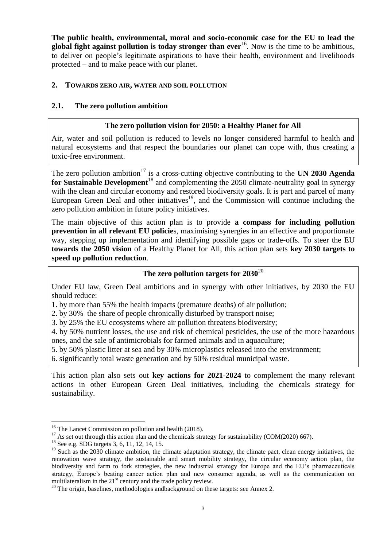**The public health, environmental, moral and socio-economic case for the EU to lead the global fight against pollution is today stronger than ever**<sup>16</sup>. Now is the time to be ambitious, to deliver on people's legitimate aspirations to have their health, environment and livelihoods protected – and to make peace with our planet.

#### **2. TOWARDS ZERO AIR, WATER AND SOIL POLLUTION**

### **2.1. The zero pollution ambition**

### **The zero pollution vision for 2050: a Healthy Planet for All**

Air, water and soil pollution is reduced to levels no longer considered harmful to health and natural ecosystems and that respect the boundaries our planet can cope with, thus creating a toxic-free environment.

The zero pollution ambition<sup>17</sup> is a cross-cutting objective contributing to the **UN 2030 Agenda** for Sustainable Development<sup>18</sup> and complementing the 2050 climate-neutrality goal in synergy with the clean and circular economy and restored biodiversity goals. It is part and parcel of many European Green Deal and other initiatives<sup>19</sup>, and the Commission will continue including the zero pollution ambition in future policy initiatives.

The main objective of this action plan is to provide **a compass for including pollution prevention in all relevant EU policie**s, maximising synergies in an effective and proportionate way, stepping up implementation and identifying possible gaps or trade-offs. To steer the EU **towards the 2050 vision** of a Healthy Planet for All, this action plan sets **key 2030 targets to speed up pollution reduction**.

# **The zero pollution targets for 2030**<sup>20</sup>

Under EU law, Green Deal ambitions and in synergy with other initiatives, by 2030 the EU should reduce:

1. by more than 55% the health impacts (premature deaths) of air pollution;

2. by 30% the share of people chronically disturbed by transport noise;

3. by 25% the EU ecosystems where air pollution threatens biodiversity;

4. by 50% nutrient losses, the use and risk of chemical pesticides, the use of the more hazardous ones, and the sale of antimicrobials for farmed animals and in aquaculture;

5. by 50% plastic litter at sea and by 30% microplastics released into the environment;

6. significantly total waste generation and by 50% residual municipal waste.

This action plan also sets out **key actions for 2021-2024** to complement the many relevant actions in other European Green Deal initiatives, including the chemicals strategy for sustainability.

 $\overline{a}$ <sup>16</sup> The Lancet Commission on pollution and health (2018).

 $17$  As set out through this action plan and the chemicals strategy for sustainability (COM(2020) 667).

<sup>&</sup>lt;sup>18</sup> See e.g. SDG targets 3, 6, 11, 12, 14, 15.

 $19$  Such as the 2030 climate ambition, the climate adaptation strategy, the climate pact, clean energy initiatives, the renovation wave strategy, the sustainable and smart mobility strategy, the circular economy action plan, the biodiversity and farm to fork strategies, the new industrial strategy for Europe and the EU's pharmaceuticals strategy, Europe's beating cancer action plan and new consumer agenda, as well as the communication on multilateralism in the  $21<sup>st</sup>$  century and the trade policy review.

<sup>&</sup>lt;sup>20</sup> The origin, baselines, methodologies andbackground on these targets: see Annex 2.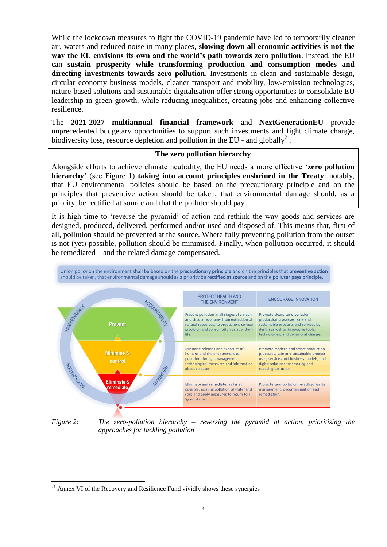While the lockdown measures to fight the COVID-19 pandemic have led to temporarily cleaner air, waters and reduced noise in many places, **slowing down all economic activities is not the way the EU envisions its own and the world's path towards zero pollution**. Instead, the EU can **sustain prosperity while transforming production and consumption modes and directing investments towards zero pollution**. Investments in clean and sustainable design, circular economy business models, cleaner transport and mobility, low-emission technologies, nature-based solutions and sustainable digitalisation offer strong opportunities to consolidate EU leadership in green growth, while reducing inequalities, creating jobs and enhancing collective resilience.

The **2021-2027 multiannual financial framework** and **NextGenerationEU** provide unprecedented budgetary opportunities to support such investments and fight climate change, biodiversity loss, resource depletion and pollution in the EU - and globally<sup>21</sup>.

#### **The zero pollution hierarchy**

Alongside efforts to achieve climate neutrality, the EU needs a more effective '**zero pollution hierarchy**' (see Figure 1) **taking into account principles enshrined in the Treaty**: notably, that EU environmental policies should be based on the precautionary principle and on the principles that preventive action should be taken, that environmental damage should, as a priority, be rectified at source and that the polluter should pay.

It is high time to 'reverse the pyramid' of action and rethink the way goods and services are designed, produced, delivered, performed and/or used and disposed of. This means that, first of all, pollution should be prevented at the source. Where fully preventing pollution from the outset is not (yet) possible, pollution should be minimised. Finally, when pollution occurred, it should be remediated – and the related damage compensated.



*Figure 2: The zero-pollution hierarchy – reversing the pyramid of action, prioritising the approaches for tackling pollution*

 $21$  Annex VI of the Recovery and Resilience Fund vividly shows these synergies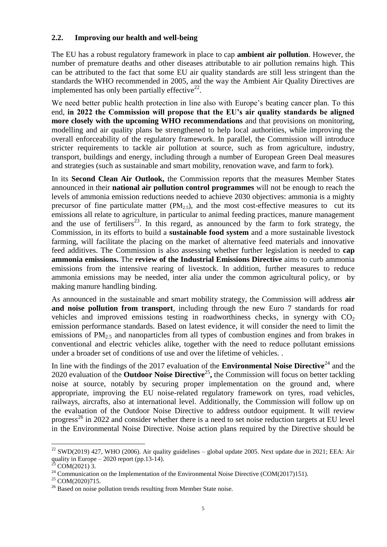### **2.2. Improving our health and well-being**

The EU has a robust regulatory framework in place to cap **ambient air pollution**. However, the number of premature deaths and other diseases attributable to air pollution remains high. This can be attributed to the fact that some EU air quality standards are still less stringent than the standards the WHO recommended in 2005, and the way the Ambient Air Quality Directives are implemented has only been partially effective $^{22}$ .

We need better public health protection in line also with Europe's beating cancer plan. To this end, **in 2022 the Commission will propose that the EU's air quality standards be aligned more closely with the upcoming WHO recommendations** and that provisions on monitoring, modelling and air quality plans be strengthened to help local authorities, while improving the overall enforceability of the regulatory framework. In parallel, the Commission will introduce stricter requirements to tackle air pollution at source, such as from agriculture, industry, transport, buildings and energy, including through a number of European Green Deal measures and strategies (such as sustainable and smart mobility, renovation wave, and farm to fork).

In its **Second Clean Air Outlook,** the Commission reports that the measures Member States announced in their **national air pollution control programmes** will not be enough to reach the levels of ammonia emission reductions needed to achieve 2030 objectives: ammonia is a mighty precursor of fine particulate matter  $(PM<sub>2.5</sub>)$ , and the most cost-effective measures to cut its emissions all relate to agriculture, in particular to animal feeding practices, manure management and the use of fertilisers<sup>23</sup>. In this regard, as announced by the farm to fork strategy, the Commission, in its efforts to build a **sustainable food system** and a more sustainable livestock farming, will facilitate the placing on the market of alternative feed materials and innovative feed additives. The Commission is also assessing whether further legislation is needed to **cap ammonia emissions.** The **review of the Industrial Emissions Directive** aims to curb ammonia emissions from the intensive rearing of livestock. In addition, further measures to reduce ammonia emissions may be needed, inter alia under the common agricultural policy, or by making manure handling binding.

As announced in the sustainable and smart mobility strategy, the Commission will address **air and noise pollution from transport**, including through the new Euro 7 standards for road vehicles and improved emissions testing in roadworthiness checks, in synergy with  $CO<sub>2</sub>$ emission performance standards. Based on latest evidence, it will consider the need to limit the emissions of  $PM_{2.5}$  and nanoparticles from all types of combustion engines and from brakes in conventional and electric vehicles alike, together with the need to reduce pollutant emissions under a broader set of conditions of use and over the lifetime of vehicles. .

In line with the findings of the 2017 evaluation of the **Environmental Noise Directive**<sup>24</sup> and the 2020 evaluation of the **Outdoor Noise Directive**<sup>25</sup>, the Commission will focus on better tackling noise at source, notably by securing proper implementation on the ground and, where appropriate, improving the EU noise-related regulatory framework on tyres, road vehicles, railways, aircrafts, also at international level. Additionally, the Commission will follow up on the evaluation of the Outdoor Noise Directive to address outdoor equipment. It will review progress<sup>26</sup> in 2022 and consider whether there is a need to set noise reduction targets at EU level in the Environmental Noise Directive. Noise action plans required by the Directive should be

 $^{22}$  SWD(2019) 427, WHO (2006). Air quality guidelines – global update 2005. Next update due in 2021; EEA: Air quality in Europe – 2020 report (pp.13-14).

[COM\(2021\) 3.](https://eur-lex.europa.eu/legal-content/EN/TXT/?uri=COM:2021:3:FIN)

 $24$  Communication on the Implementation of the Environmental Noise Directive (COM(2017)151).

<sup>25</sup> [COM\(2020\)715.](https://eur-lex.europa.eu/legal-content/EN/TXT/?uri=CELEX%3A52020DC0715&qid=1616602565729)

<sup>&</sup>lt;sup>26</sup> Based on noise pollution trends resulting from Member State noise.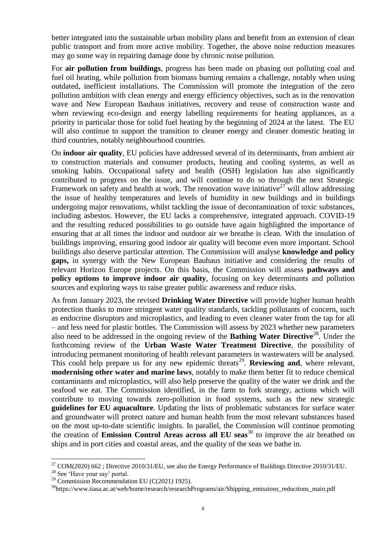better integrated into the sustainable urban mobility plans and benefit from an extension of clean public transport and from more active mobility. Together, the above noise reduction measures may go some way in repairing damage done by chronic noise pollution.

For **air pollution from buildings**, progress has been made on phasing out polluting coal and fuel oil heating, while pollution from biomass burning remains a challenge, notably when using outdated, inefficient installations. The Commission will promote the integration of the zero pollution ambition with clean energy and energy efficiency objectives, such as in the renovation wave and New European Bauhaus initiatives, recovery and reuse of construction waste and when reviewing eco-design and energy labelling requirements for heating appliances, as a priority in particular those for solid fuel heating by the beginning of 2024 at the latest. The EU will also continue to support the transition to cleaner energy and cleaner domestic heating in third countries, notably neighbourhood countries.

On **indoor air quality**, EU policies have addressed several of its determinants, from ambient air to construction materials and consumer products, heating and cooling systems, as well as smoking habits. Occupational safety and health (OSH) legislation has also significantly contributed to progress on the issue, and will continue to do so through the next Strategic Framework on safety and health at work. The renovation wave initiative  $27$  will allow addressing the issue of healthy temperatures and levels of humidity in new buildings and in buildings undergoing major renovations, whilst tackling the issue of decontamination of toxic substances, including asbestos. However, the EU lacks a comprehensive, integrated approach. COVID-19 and the resulting reduced possibilities to go outside have again highlighted the importance of ensuring that at all times the indoor and outdoor air we breathe is clean. With the insulation of buildings improving, ensuring good indoor air quality will become even more important. School buildings also deserve particular attention. The Commission will analyse **knowledge and policy gaps,** in synergy with the New European Bauhaus initiative and considering the results of relevant Horizon Europe projects. On this basis, the Commission will assess **pathways and policy options to improve indoor air quality**, focusing on key determinants and pollution sources and exploring ways to raise greater public awareness and reduce risks.

As from January 2023, the revised **Drinking Water Directive** will provide higher human health protection thanks to more stringent water quality standards, tackling pollutants of concern, such as endocrine disruptors and microplastics, and leading to even cleaner water from the tap for all – and less need for plastic bottles. The Commission will assess by 2023 whether new parameters also need to be addressed in the ongoing review of the **Bathing Water Directive**<sup>28</sup>. Under the forthcoming review of the **Urban Waste Water Treatment Directive**, the possibility of introducing permanent monitoring of health relevant parameters in wastewaters will be analysed. This could help prepare us for any new epidemic threats<sup>29</sup>. **Reviewing and**, where relevant, **modernising other water and marine laws**, notably to make them better fit to reduce chemical contaminants and microplastics, will also help preserve the quality of the water we drink and the seafood we eat. The Commission identified, in the farm to fork strategy, actions which will contribute to moving towards zero-pollution in food systems, such as the new strategic **guidelines for EU aquaculture**. Updating the lists of problematic substances for surface water and groundwater will protect nature and human health from the most relevant substances based on the most up-to-date scientific insights. In parallel, the Commission will continue promoting the creation of **Emission Control Areas across all EU seas**<sup>30</sup> to improve the air breathed on ships and in port cities and coastal areas, and the quality of the seas we bathe in.

 $^{27}$  COM(2020) 662; Directive 2010/31/EU, see also the Energy Performance of Buildings Directive 2010/31/EU.

<sup>&</sup>lt;sup>28</sup> See ['Have your say' portal.](https://ec.europa.eu/info/law/better-regulation/have-your-say/initiatives/12658-Bathing-water-quality-review-of-EU-rules)

 $29$  Commission Recommendation EU (C(2021) 1925).

<sup>&</sup>lt;sup>30</sup>[https://www.iiasa.ac.at/web/home/research/researchPrograms/air/Shipping\\_emissions\\_reductions\\_main.pdf](https://www.iiasa.ac.at/web/home/research/researchPrograms/air/Shipping_emissions_reductions_main.pdf)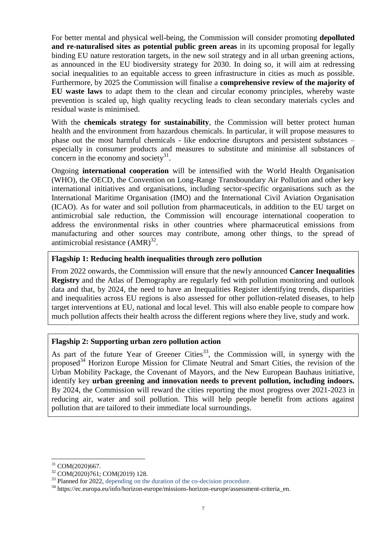For better mental and physical well-being, the Commission will consider promoting **depolluted and re-naturalised sites as potential public green areas** in its upcoming proposal for legally binding EU nature restoration targets, in the new soil strategy and in all urban greening actions, as announced in the EU biodiversity strategy for 2030. In doing so, it will aim at redressing social inequalities to an equitable access to green infrastructure in cities as much as possible. Furthermore, by 2025 the Commission will finalise a **comprehensive review of the majority of EU waste laws** to adapt them to the clean and circular economy principles, whereby waste prevention is scaled up, high quality recycling leads to clean secondary materials cycles and residual waste is minimised.

With the **chemicals strategy for sustainability**, the Commission will better protect human health and the environment from hazardous chemicals. In particular, it will propose measures to phase out the most harmful chemicals - like endocrine disruptors and persistent substances – especially in consumer products and measures to substitute and minimise all substances of concern in the economy and society $31$ .

Ongoing **international cooperation** will be intensified with the World Health Organisation (WHO), the OECD, the Convention on Long-Range Transboundary Air Pollution and other key international initiatives and organisations, including sector-specific organisations such as the International Maritime Organisation (IMO) and the International Civil Aviation Organisation (ICAO). As for water and soil pollution from pharmaceuticals, in addition to the EU target on antimicrobial sale reduction, the Commission will encourage international cooperation to address the environmental risks in other countries where pharmaceutical emissions from manufacturing and other sources may contribute, among other things, to the spread of antimicrobial resistance  $(AMR)^{32}$ .

#### **Flagship 1: Reducing health inequalities through zero pollution**

From 2022 onwards, the Commission will ensure that the newly announced **Cancer Inequalities Registry** and the Atlas of Demography are regularly fed with pollution monitoring and outlook data and that, by 2024, the need to have an Inequalities Register identifying trends, disparities and inequalities across EU regions is also assessed for other pollution-related diseases, to help target interventions at EU, national and local level. This will also enable people to compare how much pollution affects their health across the different regions where they live, study and work.

#### **Flagship 2: Supporting urban zero pollution action**

As part of the future Year of Greener Cities<sup>33</sup>, the Commission will, in synergy with the proposed<sup>34</sup> Horizon Europe Mission for Climate Neutral and Smart Cities, the revision of the Urban Mobility Package, the Covenant of Mayors, and the New European Bauhaus initiative, identify key **urban greening and innovation needs to prevent pollution, including indoors.** By 2024, the Commission will reward the cities reporting the most progress over 2021-2023 in reducing air, water and soil pollution. This will help people benefit from actions against pollution that are tailored to their immediate local surroundings.

COM(2020)667.

<sup>32</sup> COM(2020)761; COM(2019) 128.

<sup>&</sup>lt;sup>33</sup> Planned for 2022, depending on the duration of the co-decision procedure.

<sup>34</sup> https://ec.europa.eu/info/horizon-europe/missions-horizon-europe/assessment-criteria\_en.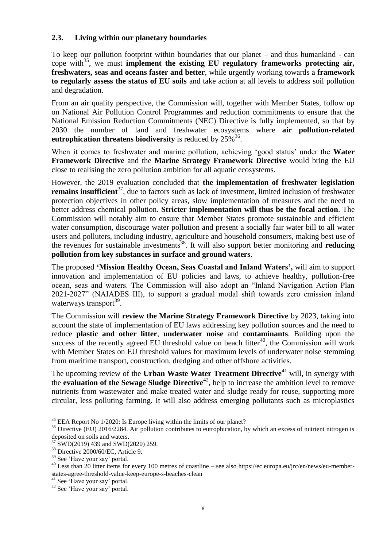# **2.3. Living within our planetary boundaries**

To keep our pollution footprint within boundaries that our planet – and thus humankind - can cope with<sup>35</sup>, we must **implement the existing EU regulatory frameworks protecting air, freshwaters, seas and oceans faster and better**, while urgently working towards a **framework to regularly assess the status of EU soils** and take action at all levels to address soil pollution and degradation.

From an air quality perspective, the Commission will, together with Member States, follow up on National Air Pollution Control Programmes and reduction commitments to ensure that the National Emission Reduction Commitments (NEC) Directive is fully implemented, so that by 2030 the number of land and freshwater ecosystems where **air pollution-related eutrophication threatens biodiversity** is reduced by  $25\%^{36}$ .

When it comes to freshwater and marine pollution, achieving 'good status' under the **Water Framework Directive** and the **Marine Strategy Framework Directive** would bring the EU close to realising the zero pollution ambition for all aquatic ecosystems.

However, the 2019 evaluation concluded that **the implementation of freshwater legislation remains insufficient**<sup>37</sup>, due to factors such as lack of investment, limited inclusion of freshwater protection objectives in other policy areas, slow implementation of measures and the need to better address chemical pollution. **Stricter implementation will thus be the focal action**. The Commission will notably aim to ensure that Member States promote sustainable and efficient water consumption, discourage water pollution and present a socially fair water bill to all water users and polluters, including industry, agriculture and household consumers, making best use of the revenues for sustainable investments<sup>38</sup>. It will also support better monitoring and **reducing pollution from key substances in surface and ground waters**.

The proposed **'Mission Healthy Ocean, Seas Coastal and Inland Waters',** will aim to support innovation and implementation of EU policies and laws, to achieve healthy, pollution-free ocean, seas and waters. The Commission will also adopt an "Inland Navigation Action Plan 2021-2027" (NAIADES III), to support a gradual modal shift towards zero emission inland waterways transport<sup>39</sup>.

The Commission will **review the Marine Strategy Framework Directive** by 2023, taking into account the state of implementation of EU laws addressing key pollution sources and the need to reduce **plastic and other litter**, **underwater noise** and **contaminants**. Building upon the success of the recently agreed EU threshold value on beach litter<sup>40</sup>, the Commission will work with Member States on EU threshold values for maximum levels of underwater noise stemming from maritime transport, construction, dredging and other offshore activities.

The upcoming review of the **Urban Waste Water Treatment Directive**<sup>41</sup> will, in synergy with the **evaluation of the Sewage Sludge Directive**<sup>42</sup>, help to increase the ambition level to remove nutrients from wastewater and make treated water and sludge ready for reuse, supporting more circular, less polluting farming. It will also address emerging pollutants such as microplastics

 $\overline{a}$ <sup>35</sup> EEA Report No 1/2020: Is Europe living within [the limits of our](https://www.eea.europa.eu/publications/is-europe-living-within-the-planets-limits) planet?

<sup>&</sup>lt;sup>36</sup> Directive (EU) 2016/2284. Air pollution contributes to eutrophication, by which an excess of nutrient nitrogen is deposited on soils and waters.

 $37$  SWD(2019) 439 and SWD(2020) 259.

<sup>38</sup> Directive 2000/60/EC, Article 9.

<sup>39</sup> See ['Have your say' portal.](https://myintracomm-collab.ec.europa.eu/projects/ENVZP/draftingteam/Shared%20Documents/01-reference%20documents/VM%20JDE%20MK/‘Have%20your%20say’%20portal)

<sup>&</sup>lt;sup>40</sup> Less than 20 litter items for every 100 metres of coastline – see also [https://ec.europa.eu/jrc/en/news/eu-member](https://ec.europa.eu/jrc/en/news/eu-member-states-agree-threshold-value-keep-europe-s-beaches-clean)[states-agree-threshold-value-keep-europe-s-beaches-clean](https://ec.europa.eu/jrc/en/news/eu-member-states-agree-threshold-value-keep-europe-s-beaches-clean)

<sup>&</sup>lt;sup>41</sup> See ['Have your say' portal.](https://myintracomm-collab.ec.europa.eu/projects/ENVZP/draftingteam/Shared%20Documents/01-reference%20documents/VM%20JDE%20MK/‘Have%20your%20say’%20portal)

<sup>42</sup> See ['Have your say' portal.](https://ec.europa.eu/info/law/better-regulation/have-your-say/initiatives/12328-Evaluation-of-the-Sewage-Sludge-Directive-86-278-EEC-)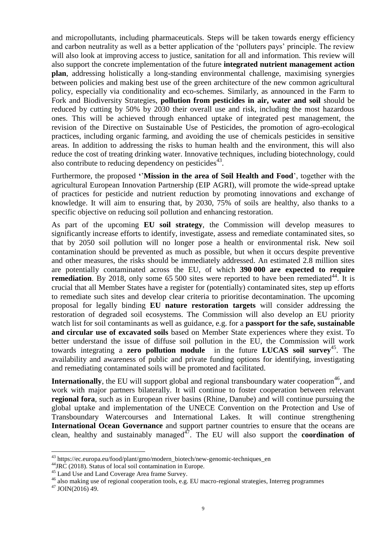and micropollutants, including pharmaceuticals. Steps will be taken towards energy efficiency and carbon neutrality as well as a better application of the 'polluters pays' principle. The review will also look at improving access to justice, sanitation for all and information. This review will also support the concrete implementation of the future **integrated nutrient management action plan**, addressing holistically a long-standing environmental challenge, maximising synergies between policies and making best use of the green architecture of the new common agricultural policy, especially via conditionality and eco-schemes. Similarly, as announced in the Farm to Fork and Biodiversity Strategies, **pollution from pesticides in air, water and soil** should be reduced by cutting by 50% by 2030 their overall use and risk, including the most hazardous ones. This will be achieved through enhanced uptake of integrated pest management, the revision of the Directive on Sustainable Use of Pesticides, the promotion of agro-ecological practices, including organic farming, and avoiding the use of chemicals pesticides in sensitive areas. In addition to addressing the risks to human health and the environment, this will also reduce the cost of treating drinking water. Innovative techniques, including biotechnology, could also contribute to reducing dependency on pesticides $43$ .

Furthermore, the proposed **'**'**Mission in the area of Soil Health and Food**', together with the agricultural European Innovation Partnership (EIP AGRI), will promote the wide-spread uptake of practices for pesticide and nutrient reduction by promoting innovations and exchange of knowledge. It will aim to ensuring that, by 2030, 75% of soils are healthy, also thanks to a specific objective on reducing soil pollution and enhancing restoration.

As part of the upcoming **EU soil strategy**, the Commission will develop measures to significantly increase efforts to identify, investigate, assess and remediate contaminated sites, so that by 2050 soil pollution will no longer pose a health or environmental risk. New soil contamination should be prevented as much as possible, but when it occurs despite preventive and other measures, the risks should be immediately addressed. An estimated 2.8 million sites are potentially contaminated across the EU, of which **390 000 are expected to require remediation**. By 2018, only some 65 500 sites were reported to have been remediated<sup>44</sup>. It is crucial that all Member States have a register for (potentially) contaminated sites, step up efforts to remediate such sites and develop clear criteria to prioritise decontamination. The upcoming proposal for legally binding **EU nature restoration targets** will consider addressing the restoration of degraded soil ecosystems. The Commission will also develop an EU priority watch list for soil contaminants as well as guidance, e.g. for a **passport for the safe, sustainable and circular use of excavated soils** based on Member State experiences where they exist. To better understand the issue of diffuse soil pollution in the EU, the Commission will work towards integrating a **zero pollution module** in the future **LUCAS soil survey**<sup>45</sup>. The availability and awareness of public and private funding options for identifying, investigating and remediating contaminated soils will be promoted and facilitated.

**Internationally**, the EU will support global and regional transboundary water cooperation<sup>46</sup>, and work with major partners bilaterally. It will continue to foster cooperation between relevant **regional fora**, such as in European river basins (Rhine, Danube) and will continue pursuing the global uptake and implementation of the UNECE Convention on the Protection and Use of Transboundary Watercourses and International Lakes. It will continue strengthening **International Ocean Governance** and support partner countries to ensure that the oceans are clean, healthy and sustainably managed<sup>47</sup>. The EU will also support the **coordination of** 

<sup>43</sup> https://ec.europa.eu/food/plant/gmo/modern\_biotech/new-genomic-techniques\_en

<sup>&</sup>lt;sup>44</sup>JRC (2018). Status of local soil contamination in Europe.

<sup>&</sup>lt;sup>45</sup> [Land Use and Land Coverage Area frame Survey.](https://ec.europa.eu/eurostat/statistics-explained/index.php/LUCAS_-_Land_use_and_land_cover_survey)

<sup>46</sup> also making use of regional cooperation tools, e.g. EU macro-regional strategies, Interreg programmes

 $47$  JOIN(2016) 49.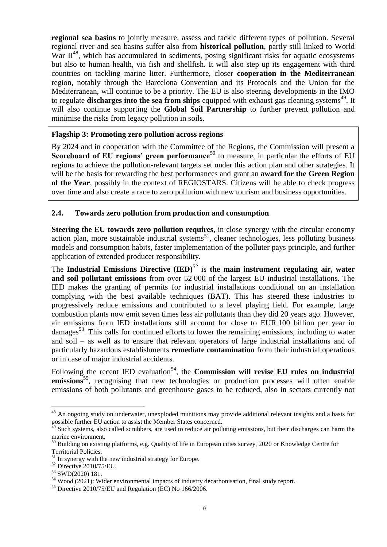**regional sea basins** to jointly measure, assess and tackle different types of pollution. Several regional river and sea basins suffer also from **historical pollution**, partly still linked to World War  $II^{48}$ , which has accumulated in sediments, posing significant risks for aquatic ecosystems but also to human health, via fish and shellfish. It will also step up its engagement with third countries on tackling marine litter. Furthermore, closer **cooperation in the Mediterranean** region, notably through the Barcelona Convention and its Protocols and the Union for the Mediterranean, will continue to be a priority. The EU is also steering developments in the IMO to regulate **discharges into the sea from ships** equipped with exhaust gas cleaning systems<sup>49</sup>. It will also continue supporting the **Global Soil Partnership** to further prevent pollution and minimise the risks from legacy pollution in soils.

#### **Flagship 3: Promoting zero pollution across regions**

By 2024 and in cooperation with the Committee of the Regions, the Commission will present a **Scoreboard of EU regions' green performance**<sup>50</sup> to measure, in particular the efforts of EU regions to achieve the pollution-relevant targets set under this action plan and other strategies. It will be the basis for rewarding the best performances and grant an **award for the Green Region of the Year**, possibly in the context of REGIOSTARS. Citizens will be able to check progress over time and also create a race to zero pollution with new tourism and business opportunities.

#### **2.4. Towards zero pollution from production and consumption**

**Steering the EU towards zero pollution requires**, in close synergy with the circular economy action plan, more sustainable industrial systems<sup>51</sup>, cleaner technologies, less polluting business models and consumption habits, faster implementation of the polluter pays principle, and further application of extended producer responsibility.

The **Industrial Emissions Directive (IED)**<sup>52</sup> is **the main instrument regulating air, water and soil pollutant emissions** from over 52 000 of the largest EU industrial installations. The IED makes the granting of permits for industrial installations conditional on an installation complying with the best available techniques (BAT). This has steered these industries to progressively reduce emissions and contributed to a level playing field. For example, large combustion plants now emit seven times less air pollutants than they did 20 years ago. However, air emissions from IED installations still account for close to EUR 100 billion per year in damages<sup>53</sup>. This calls for continued efforts to lower the remaining emissions, including to water and soil – as well as to ensure that relevant operators of large industrial installations and of particularly hazardous establishments **remediate contamination** from their industrial operations or in case of major industrial accidents.

Following the recent IED evaluation<sup>54</sup>, the **Commission will revise EU rules on industrial** emissions<sup>55</sup>, recognising that new technologies or production processes will often enable emissions of both pollutants and greenhouse gases to be reduced, also in sectors currently not

<sup>&</sup>lt;sup>48</sup> An ongoing study on underwater, unexploded munitions may provide additional relevant insights and a basis for possible further EU action to assist the Member States concerned.

 $^{9}$  Such systems, also called scrubbers, are used to reduce air polluting emissions, but their discharges can harm the marine environment.

<sup>&</sup>lt;sup>50</sup> Building on existing platforms, e.g. [Quality of life in European cities survey, 2020](https://ec.europa.eu/regional_policy/en/information/maps/quality_of_life/) or Knowledge Centre for [Territorial Policies.](https://knowledge4policy.ec.europa.eu/territorial_en)

<sup>&</sup>lt;sup>51</sup> In synergy with the new industrial strategy for Europe.

<sup>52</sup> Directive 2010/75/EU.

<sup>53</sup> SWD(2020) 181.

<sup>54</sup> Wood (2021): Wider environmental impacts of industry decarbonisation, [final study report.](https://circabc.europa.eu/ui/group/06f33a94-9829-4eee-b187-21bb783a0fbf/library/c027a361-02da-49f4-b187-63f9e429561d/details)

<sup>55</sup> Directive 2010/75/EU and Regulation (EC) No 166/2006.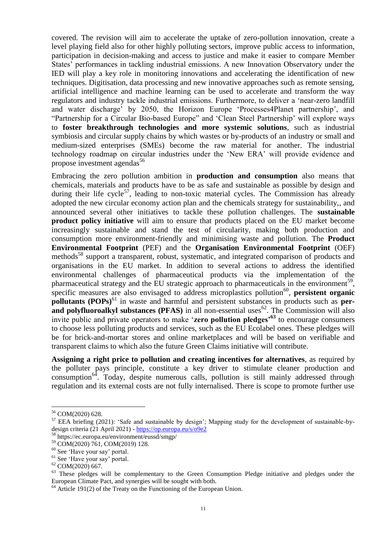covered. The revision will aim to accelerate the uptake of zero-pollution innovation, create a level playing field also for other highly polluting sectors, improve public access to information, participation in decision-making and access to justice and make it easier to compare Member States' performances in tackling industrial emissions. A new Innovation Observatory under the IED will play a key role in monitoring innovations and accelerating the identification of new techniques. Digitisation, data processing and new innovative approaches such as remote sensing, artificial intelligence and machine learning can be used to accelerate and transform the way regulators and industry tackle industrial emissions. Furthermore, to deliver a 'near-zero landfill and water discharge' by 2050, the Horizon Europe 'Processes4Planet partnership', and "Partnership for a Circular Bio-based Europe" and 'Clean Steel Partnership' will explore ways to **foster breakthrough technologies and more systemic solutions**, such as industrial symbiosis and circular supply chains by which wastes or by-products of an industry or small and medium-sized enterprises (SMEs) become the raw material for another. The industrial technology roadmap on circular industries under the 'New ERA' will provide evidence and propose investment agendas<sup>56</sup>

Embracing the zero pollution ambition in **production and consumption** also means that chemicals, materials and products have to be as safe and sustainable as possible by design and during their life cycle<sup>57</sup>, leading to non-toxic material cycles. The Commission has already adopted the new circular economy action plan and the chemicals strategy for sustainability,, and announced several other initiatives to tackle these pollution challenges. The **sustainable product policy initiative** will aim to ensure that products placed on the EU market become increasingly sustainable and stand the test of circularity, making both production and consumption more environment-friendly and minimising waste and pollution. The **Product Environmental Footprint** (PEF) and the **Organisation Environmental Footprint** (OEF) methods<sup>58</sup> support a transparent, robust, systematic, and integrated comparison of products and organisations in the EU market. In addition to several actions to address the identified environmental challenges of pharmaceutical products via the implementation of the pharmaceutical strategy and the EU strategic approach to pharmaceuticals in the environment<sup>59</sup>, specific measures are also envisaged to address microplastics pollution<sup>60</sup>, persistent organic **pollutants (POPs)**<sup>61</sup> in waste and harmful and persistent substances in products such as **perand polyfluoroalkyl substances (PFAS)** in all non-essential uses<sup>62</sup>. The Commission will also invite public and private operators to make '**zero pollution pledges'<sup>63</sup>** to encourage consumers to choose less polluting products and services, such as the EU Ecolabel ones. These pledges will be for brick-and-mortar stores and online marketplaces and will be based on verifiable and transparent claims to which also the future Green Claims initiative will contribute.

**Assigning a right price to pollution and creating incentives for alternatives**, as required by the polluter pays principle, constitute a key driver to stimulate cleaner production and consumption<sup>64</sup>. Today, despite numerous calls, pollution is still mainly addressed through regulation and its external costs are not fully internalised. There is scope to promote further use

<sup>56</sup> COM(2020) 628.

<sup>&</sup>lt;sup>57</sup> [EEA briefing \(2021\):](https://www.eea.europa.eu/themes/human/chemicals/delivering-products-that-are-safe) 'Safe and sustainable by design'; Mapping study for the development of sustainable-bydesign criteria (21 April 2021) - https://op.europa.eu/s/o9e2

<sup>58</sup> https://ec.europa.eu/environment/eussd/smgp/

<sup>59</sup> COM(2020) 761, COM(2019) 128.

<sup>&</sup>lt;sup>60</sup> See ['Have your say' portal.](https://ec.europa.eu/info/law/better-regulation/have-your-say/initiatives/12823-Measures-to-reduce-microplastic-pollution)

<sup>61</sup> See ['Have your say' portal.](https://ec.europa.eu/info/law/better-regulation/have-your-say/initiatives/12411-Update-of-concentration-limit-values-of-persistent-organic-pollutants-in-waste)

<sup>62</sup> COM(2020) 667.

<sup>&</sup>lt;sup>63</sup> These pledges will be complementary to the Green Consumption Pledge initiative and pledges under the European Climate Pact, and synergies will be sought with both.

 $64$  Article 191(2) of the Treaty on the Functioning of the European Union.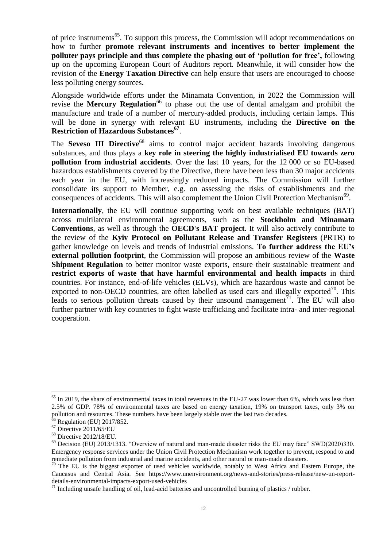of price instruments<sup>65</sup>. To support this process, the Commission will adopt recommendations on how to further **promote relevant instruments and incentives to better implement the polluter pays principle and thus complete the phasing out of 'pollution for free',** following up on the upcoming European Court of Auditors report. Meanwhile, it will consider how the revision of the **Energy Taxation Directive** can help ensure that users are encouraged to choose less polluting energy sources.

Alongside worldwide efforts under the Minamata Convention, in 2022 the Commission will revise the **Mercury Regulation**<sup>66</sup> to phase out the use of dental amalgam and prohibit the manufacture and trade of a number of mercury-added products, including certain lamps. This will be done in synergy with relevant EU instruments, including the **Directive on the Restriction of Hazardous Substances<sup>67</sup>** .

The **Seveso III Directive**<sup>68</sup> aims to control major accident hazards involving dangerous substances, and thus plays a **key role in steering the highly industrialised EU towards zero pollution from industrial accidents**. Over the last 10 years, for the 12 000 or so EU-based hazardous establishments covered by the Directive, there have been less than 30 major accidents each year in the EU, with increasingly reduced impacts. The Commission will further consolidate its support to Member, e.g. on assessing the risks of establishments and the consequences of accidents. This will also complement the Union Civil Protection Mechanism<sup>69</sup>.

**Internationally**, the EU will continue supporting work on best available techniques (BAT) across multilateral environmental agreements, such as the **Stockholm and Minamata Conventions**, as well as through the **OECD's BAT project**. It will also actively contribute to the review of the **Kyiv Protocol on Pollutant Release and Transfer Registers** (PRTR) to gather knowledge on levels and trends of industrial emissions. **To further address the EU's external pollution footprint**, the Commission will propose an ambitious review of the **Waste Shipment Regulation** to better monitor waste exports, ensure their sustainable treatment and **restrict exports of waste that have harmful environmental and health impacts** in third countries. For instance, end-of-life vehicles (ELVs), which are hazardous waste and cannot be exported to non-OECD countries, are often labelled as used cars and illegally exported<sup>70</sup>. This leads to serious pollution threats caused by their unsound management<sup>71</sup>. The EU will also further partner with key countries to fight waste trafficking and facilitate intra- and inter-regional cooperation.

 $65$  In 2019, the share of environmental taxes in total revenues in the EU-27 was lower than  $6\%$ , which was less than 2.5% of GDP. 78% of environmental taxes are based on energy taxation, 19% on transport taxes, only 3% on pollution and resources. These numbers have been largely stable over the last two decades.

 $6$  Regulation (EU) 2017/852.

 $67$  Directive 2011/65/EU

<sup>68</sup> Directive 2012/18/EU.

 $^{69}$  Decision (EU) 2013/1313. "Overview of natural and man-made disaster risks the EU may face" SWD(2020)330. Emergency response services under the Union Civil Protection Mechanism work together to prevent, respond to and remediate pollution from industrial and marine accidents, and other natural or man-made disasters.

 $70$  The EU is the biggest exporter of used vehicles worldwide, notably to West Africa and Eastern Europe, the Caucasus and Central Asia. See [https://www.unenvironment.org/news-and-stories/press-release/new-un-report](https://www.unenvironment.org/news-and-stories/press-release/new-un-report-details-environmental-impacts-export-used-vehicles)[details-environmental-impacts-export-used-vehicles](https://www.unenvironment.org/news-and-stories/press-release/new-un-report-details-environmental-impacts-export-used-vehicles)

 $71$  Including unsafe handling of oil, lead-acid batteries and uncontrolled burning of plastics / rubber.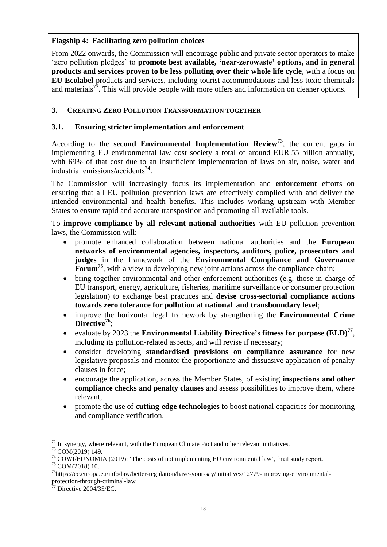# **Flagship 4: Facilitating zero pollution choices**

From 2022 onwards, the Commission will encourage public and private sector operators to make 'zero pollution pledges' to **promote best available, 'near-zerowaste' options, and in general products and services proven to be less polluting over their whole life cycle**, with a focus on **EU Ecolabel** products and services, including tourist accommodations and less toxic chemicals and materials<sup>72</sup>. This will provide people with more offers and information on cleaner options.

# **3. CREATING ZERO POLLUTION TRANSFORMATION TOGETHER**

# **3.1. Ensuring stricter implementation and enforcement**

According to the **second Environmental Implementation Review**<sup>73</sup>, the current gaps in implementing EU environmental law cost society a total of around EUR 55 billion annually, with 69% of that cost due to an insufficient implementation of laws on air, noise, water and industrial emissions/accidents<sup>74</sup>.

The Commission will increasingly focus its implementation and **enforcement** efforts on ensuring that all EU pollution prevention laws are effectively complied with and deliver the intended environmental and health benefits. This includes working upstream with Member States to ensure rapid and accurate transposition and promoting all available tools.

To **improve compliance by all relevant national authorities** with EU pollution prevention laws, the Commission will:

- promote enhanced collaboration between national authorities and the **European networks of environmental agencies, inspectors, auditors, police, prosecutors and judges** in the framework of the **Environmental Compliance and Governance Forum**<sup>75</sup>, with a view to developing new joint actions across the compliance chain;
- bring together environmental and other enforcement authorities (e.g. those in charge of EU transport, energy, agriculture, fisheries, maritime surveillance or consumer protection legislation) to exchange best practices and **devise cross-sectorial compliance actions towards zero tolerance for pollution at national and transboundary level**;
- improve the horizontal legal framework by strengthening the **Environmental Crime Directive<sup>76</sup>** ;
- evaluate by 2023 the **Environmental Liability Directive's fitness for purpose (ELD)<sup>77</sup>** , including its pollution-related aspects, and will revise if necessary;
- consider developing **standardised provisions on compliance assurance** for new legislative proposals and monitor the proportionate and dissuasive application of penalty clauses in force;
- encourage the application, across the Member States, of existing **inspections and other compliance checks and penalty clauses** and assess possibilities to improve them, where relevant;
- promote the use of **cutting-edge technologies** to boost national capacities for monitoring and compliance verification.

 $72$  In synergy, where relevant, with the European Climate Pact and other relevant initiatives.

<sup>73</sup> COM(2019) 149.

 $74$  COWI/EUNOMIA (2019): ['The costs of not implementing EU environmental law'](https://ec.europa.eu/environment/eir/pdf/study_costs_not_implementing_env_law.pdf), final study report.

<sup>75</sup> COM(2018) 10.

<sup>76</sup>[https://ec.europa.eu/info/law/better-regulation/have-your-say/initiatives/12779-Improving-environmental](https://ec.europa.eu/info/law/better-regulation/have-your-say/initiatives/12779-Improving-environmental-protection-through-criminal-law)[protection-through-criminal-law](https://ec.europa.eu/info/law/better-regulation/have-your-say/initiatives/12779-Improving-environmental-protection-through-criminal-law)

Directive 2004/35/EC.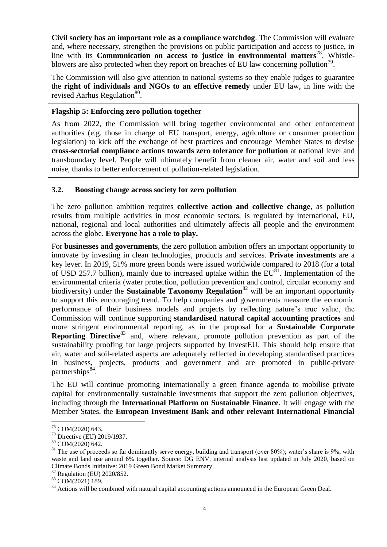**Civil society has an important role as a compliance watchdog**. The Commission will evaluate and, where necessary, strengthen the provisions on public participation and access to justice, in line with its **Communication on access to justice in environmental matters**<sup>78</sup>. Whistleblowers are also protected when they report on breaches of EU law concerning pollution<sup>79</sup>.

The Commission will also give attention to national systems so they enable judges to guarantee the **right of individuals and NGOs to an effective remedy** under EU law, in line with the revised Aarhus Regulation<sup>80</sup>.

### **Flagship 5: Enforcing zero pollution together**

As from 2022, the Commission will bring together environmental and other enforcement authorities (e.g. those in charge of EU transport, energy, agriculture or consumer protection legislation) to kick off the exchange of best practices and encourage Member States to devise **cross-sectorial compliance actions towards zero tolerance for pollution** at national level and transboundary level. People will ultimately benefit from cleaner air, water and soil and less noise, thanks to better enforcement of pollution-related legislation.

### **3.2. Boosting change across society for zero pollution**

The zero pollution ambition requires **collective action and collective change**, as pollution results from multiple activities in most economic sectors, is regulated by international, EU, national, regional and local authorities and ultimately affects all people and the environment across the globe. **Everyone has a role to play.**

For **businesses and governments**, the zero pollution ambition offers an important opportunity to innovate by investing in clean technologies, products and services. **Private investments** are a key lever. In 2019, 51% more green bonds were issued worldwide compared to 2018 (for a total of USD 257.7 billion), mainly due to increased uptake within the  $EU^{81}$ . Implementation of the environmental criteria (water protection, pollution prevention and control, circular economy and biodiversity) under the **Sustainable Taxonomy Regulation**<sup>82</sup> will be an important opportunity to support this encouraging trend. To help companies and governments measure the economic performance of their business models and projects by reflecting nature's true value, the Commission will continue supporting **standardised natural capital accounting practices** and more stringent environmental reporting, as in the proposal for a **Sustainable Corporate Reporting Directive**<sup>83</sup> and, where relevant, promote pollution prevention as part of the sustainability proofing for large projects supported by InvestEU. This should help ensure that air, water and soil-related aspects are adequately reflected in developing standardised practices in business, projects, products and government and are promoted in public-private partnerships<sup>84</sup>.

The EU will continue promoting internationally a green finance agenda to mobilise private capital for environmentally sustainable investments that support the zero pollution objectives, including through the **International Platform on Sustainable Finance**. It will engage with the Member States, the **European Investment Bank and other relevant International Financial** 

 $\overline{a}$ 

<sup>82</sup> Regulation (EU) 2020/852.

<sup>&</sup>lt;sup>78</sup> COM(2020) 643.

<sup>79</sup> Directive (EU) 2019/1937.

<sup>80</sup> COM(2020) 642.

 $81$  The use of proceeds so far dominantly serve energy, building and transport (over 80%); water's share is 9%, with waste and land use around 6% together. Source: [DG ENV, internal analysis last updated in July 2020,](https://myintracomm-collab.ec.europa.eu/dg/env/env_all/Dir%20F%20consultation%20docs/ENV.F1%20Investment%20needs/Environmental%20Investment%20Needs%20and%20Financing%20(July%202020).pdf?Web=1) based on [Climate Bonds Initiative: 2019 Green Bond Market Summary.](https://www.climatebonds.net/files/reports/2019_annual_highlights-final.pdf)

<sup>83</sup> COM(2021) 189.

<sup>&</sup>lt;sup>84</sup> Actions will be combined with natural capital accounting actions announced in the European Green Deal.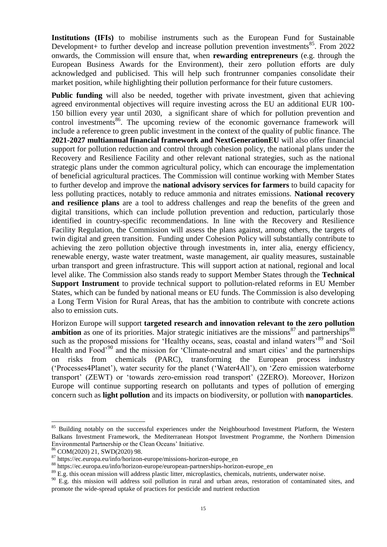**Institutions (IFIs)** to mobilise instruments such as the European Fund for Sustainable Development + to further develop and increase pollution prevention investments<sup>85</sup>. From 2022 onwards, the Commission will ensure that, when **rewarding entrepreneurs** (e.g. through the European Business Awards for the Environment), their zero pollution efforts are duly acknowledged and publicised. This will help such frontrunner companies consolidate their market position, while highlighting their pollution performance for their future customers.

**Public funding** will also be needed, together with private investment, given that achieving agreed environmental objectives will require investing across the EU an additional EUR 100- 150 billion every year until 2030, a significant share of which for pollution prevention and control investments<sup>86</sup>. The upcoming review of the economic governance framework will include a reference to green public investment in the context of the quality of public finance. The **2021-2027 multiannual financial framework and NextGenerationEU** will also offer financial support for pollution reduction and control through cohesion policy, the national plans under the Recovery and Resilience Facility and other relevant national strategies, such as the national strategic plans under the common agricultural policy, which can encourage the implementation of beneficial agricultural practices. The Commission will continue working with Member States to further develop and improve the **national advisory services for farmers** to build capacity for less polluting practices, notably to reduce ammonia and nitrates emissions. **National recovery and resilience plans** are a tool to address challenges and reap the benefits of the green and digital transitions, which can include pollution prevention and reduction, particularly those identified in country-specific recommendations. In line with the Recovery and Resilience Facility Regulation, the Commission will assess the plans against, among others, the targets of twin digital and green transition. Funding under Cohesion Policy will substantially contribute to achieving the zero pollution objective through investments in, inter alia, energy efficiency, renewable energy, waste water treatment, waste management, air quality measures, sustainable urban transport and green infrastructure. This will support action at national, regional and local level alike. The Commission also stands ready to support Member States through the **Technical Support Instrument** to provide technical support to pollution-related reforms in EU Member States, which can be funded by national means or EU funds. The Commission is also developing a Long Term Vision for Rural Areas, that has the ambition to contribute with concrete actions also to emission cuts.

Horizon Europe will support **targeted research and innovation relevant to the zero pollution ambition** as one of its priorities. Major strategic initiatives are the [missions](https://ec.europa.eu/info/horizon-europe_en#missions-in-horizon-europe)<sup>87</sup> and [partnerships](https://ec.europa.eu/info/horizon-europe/european-partnerships-horizon-europe_en)<sup>88</sup> such as the proposed missions for 'Healthy oceans, seas, coastal and inland waters'<sup>89</sup> and 'Soil Health and Food<sup>'90</sup> and the mission for 'Climate-neutral and smart cities' and the partnerships on risks from chemicals (PARC), transforming the European process industry ('Processes4Planet'), water security for the planet ('Water4All'), on 'Zero emission waterborne transport' (ZEWT) or 'towards zero-emission road transport' (2ZERO). Moreover, Horizon Europe will continue supporting research on pollutants and types of pollution of emerging concern such as **light pollution** and its impacts on biodiversity, or pollution with **nanoparticles**.

<sup>&</sup>lt;sup>85</sup> Building notably on the successful experiences under the Neighbourhood Investment Platform, the Western Balkans Investment Framework, the Mediterranean Hotspot Investment Programme, the Northern Dimension Environmental Partnership or the Clean Oceans' Initiative.

<sup>86</sup> [COM\(2020\)](https://myintracomm-collab.ec.europa.eu/dg/env/env_all/Dir%20F%20consultation%20docs/ENV.F1%20Investment%20needs/Environmental%20Investment%20Needs%20and%20Financing%20(July%202020).pdf?Web=1) 21, SWD(2020) 98.

<sup>87</sup> [https://ec.europa.eu/info/horizon-europe/missions-horizon-europe\\_en](https://ec.europa.eu/info/horizon-europe/missions-horizon-europe_en)

<sup>88</sup> [https://ec.europa.eu/info/horizon-europe/european-partnerships-horizon-europe\\_en](https://ec.europa.eu/info/horizon-europe/european-partnerships-horizon-europe_en)

<sup>&</sup>lt;sup>89</sup> E.g. this ocean mission will address plastic litter, microplastics, chemicals, nutrients, underwater noise.

 $90$  E.g. this mission will address soil pollution in rural and urban areas, restoration of contaminated sites, and promote the wide-spread uptake of practices for pesticide and nutrient reduction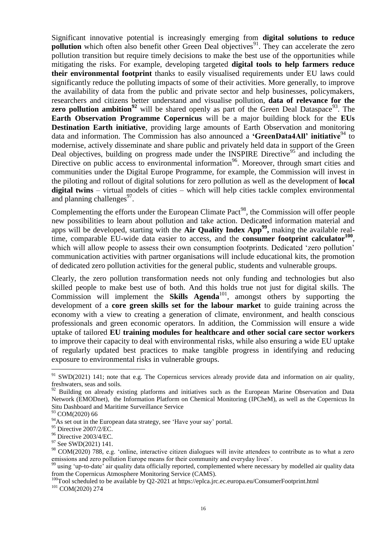Significant innovative potential is increasingly emerging from **digital solutions to reduce pollution** which often also benefit other Green Deal objectives<sup>91</sup>. They can accelerate the zero pollution transition but require timely decisions to make the best use of the opportunities while mitigating the risks. For example, developing targeted **digital tools to help farmers reduce their environmental footprint** thanks to easily visualised requirements under EU laws could significantly reduce the polluting impacts of some of their activities. More generally, to improve the availability of data from the public and private sector and help businesses, policymakers, researchers and citizens better understand and visualise pollution, **data of relevance for the zero pollution ambition**<sup>92</sup> will be shared openly as part of the Green Deal Dataspace<sup>93</sup>. The **Earth Observation Programme Copernicus** will be a major building block for the **EUs Destination Earth initiative**, providing large amounts of Earth Observation and monitoring data and information. The Commission has also announced a **'GreenData4All' initiative**<sup>94</sup> to modernise, actively disseminate and share public and privately held data in support of the Green Deal objectives, building on progress made under the INSPIRE Directive<sup>95</sup> and including the Directive on public access to environmental information<sup>96</sup>. Moreover, through smart cities and communities under the Digital Europe Programme, for example, the Commission will invest in the piloting and rollout of digital solutions for zero pollution as well as the development of **local digital twins** – virtual models of cities – which will help cities tackle complex environmental and planning challenges $97$ .

Complementing the efforts under the European Climate Pact<sup>98</sup>, the Commission will offer people new possibilities to learn about pollution and take action. Dedicated information material and apps will be developed, starting with the **Air Quality Index App<sup>99</sup> ,** making the available realtime, comparable EU-wide data easier to access, and the **consumer footprint calculator<sup>100</sup>** , which will allow people to assess their own consumption footprints. Dedicated 'zero pollution' communication activities with partner organisations will include educational kits, the promotion of dedicated zero pollution activities for the general public, students and vulnerable groups.

Clearly, the zero pollution transformation needs not only funding and technologies but also skilled people to make best use of both. And this holds true not just for digital skills. The Commission will implement the **Skills Agenda**<sup>101</sup>, amongst others by supporting the development of a **core green skills set for the labour market** to guide training across the economy with a view to creating a generation of climate, environment, and health conscious professionals and green economic operators. In addition, the Commission will ensure a wide uptake of tailored **EU training modules for healthcare and other social care sector workers** to improve their capacity to deal with environmental risks, while also ensuring a wide EU uptake of regularly updated best practices to make tangible progress in identifying and reducing exposure to environmental risks in vulnerable groups.

<sup>&</sup>lt;sup>91</sup> SWD(2021) 141; note that e.g. The Copernicus services already provide data and information on air quality, freshwaters, seas and soils.

<sup>92</sup> Building on already existing platforms and initiatives such as the European Marine Observation and Data Network (EMODnet), the Information Platform on Chemical Monitoring (IPCheM), as well as the Copernicus In Situ Dashboard and Maritime Surveillance Service

<sup>93</sup> COM(2020) 66

<sup>&</sup>lt;sup>94</sup>As set out in the European data strategy, see ['Have your say'](https://ec.europa.eu/info/law/better-regulation/have-your-say/initiatives/12427-Setting-up-an-Infrastructure-for-Spatial-Information-INSPIRE-Evaluation-of-the-Directive) portal.

<sup>95</sup> Directive 2007/2/EC.

<sup>96</sup> Directive 2003/4/EC.

<sup>97</sup> See SWD(2021) 141.

<sup>&</sup>lt;sup>98</sup> COM(2020) 788, e.g. 'online, interactive citizen dialogues will invite attendees to contribute as to what a zero emissions and zero pollution Europe means for their community and everyday lives'.

<sup>&</sup>lt;sup>99</sup> using 'up-to-date' air quality data officially reported, complemented where necessary by modelled air quality data from the Copernicus Atmosphere Monitoring Service (CAMS).

<sup>&</sup>lt;sup>100</sup>Tool scheduled to be available by Q2-2021 at<https://eplca.jrc.ec.europa.eu/ConsumerFootprint.html> <sup>101</sup> COM(2020) 274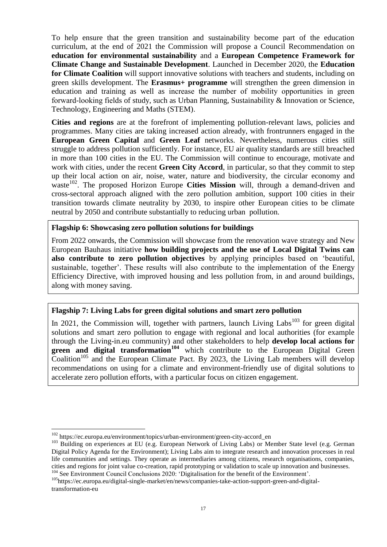To help ensure that the green transition and sustainability become part of the education curriculum, at the end of 2021 the Commission will propose a Council Recommendation on **education for environmental sustainability** and a **European Competence Framework for Climate Change and Sustainable Development**. Launched in December 2020, the **Education for Climate Coalition** will support innovative solutions with teachers and students, including on green skills development. The **Erasmus+ programme** will strengthen the green dimension in education and training as well as increase the number of mobility opportunities in green forward-looking fields of study, such as Urban Planning, Sustainability & Innovation or Science, Technology, Engineering and Maths (STEM).

**Cities and regions** are at the forefront of implementing pollution-relevant laws, policies and programmes. Many cities are taking increased action already, with frontrunners engaged in the **European Green Capital** and **Green Leaf** networks. Nevertheless, numerous cities still struggle to address pollution sufficiently. For instance, EU air quality standards are still breached in more than 100 cities in the EU. The Commission will continue to encourage, motivate and work with cities, under the recent **Green City Accord**, in particular, so that they commit to step up their local action on air, noise, water, nature and biodiversity, the circular economy and waste<sup>102</sup>. The proposed Horizon Europe **Cities Mission** will, through a demand-driven and cross-sectoral approach aligned with the zero pollution ambition, support 100 cities in their transition towards climate neutrality by 2030, to inspire other European cities to be climate neutral by 2050 and contribute substantially to reducing urban pollution.

#### **Flagship 6: Showcasing zero pollution solutions for buildings**

From 2022 onwards, the Commission will showcase from the renovation wave strategy and New European Bauhaus initiative **how building projects and the use of Local Digital Twins can also contribute to zero pollution objectives** by applying principles based on 'beautiful, sustainable, together'. These results will also contribute to the implementation of the Energy Efficiency Directive, with improved housing and less pollution from, in and around buildings, along with money saving.

### **Flagship 7: Living Labs for green digital solutions and smart zero pollution**

In 2021, the Commission will, together with partners, launch Living Labs<sup>103</sup> for green digital solutions and smart zero pollution to engage with regional and local authorities (for example through the Living-in.eu community) and other stakeholders to help **develop local actions for green and digital transformation<sup>104</sup>** which contribute to the European Digital Green  $\text{Coalition}^{105}$  and the European Climate Pact. By 2023, the Living Lab members will develop recommendations on using for a climate and environment-friendly use of digital solutions to accelerate zero pollution efforts, with a particular focus on citizen engagement.

 $\overline{a}$ 

<sup>105</sup>https://ec.europa.eu/digital-single-market/en/news/companies-take-action-support-green-and-digitaltransformation-eu

<sup>102</sup> https://ec.europa.eu/environment/topics/urban-environment/green-city-accord\_en

<sup>&</sup>lt;sup>103</sup> Building on experiences at EU (e.g. [European Network of Living Labs\)](https://enoll.org/) or Member State level (e.g. German [Digital Policy Agenda for the Environment\)](https://www.bmu.de/fileadmin/Daten_BMU/Pools/Broschueren/broschure_digital_agenda_eng_bf.pdf); Living Labs aim to integrate research and innovation processes in real life communities and settings. They operate as intermediaries among citizens, research organisations, companies, cities and regions for joint value co-creation, rapid prototyping or validation to scale up innovation and businesses. <sup>104</sup> See Environment Council Conclusions 2020: ['Digitalisation for the benefit of the Environment'](https://data.consilium.europa.eu/doc/document/ST-13957-2020-INIT/en/pdf).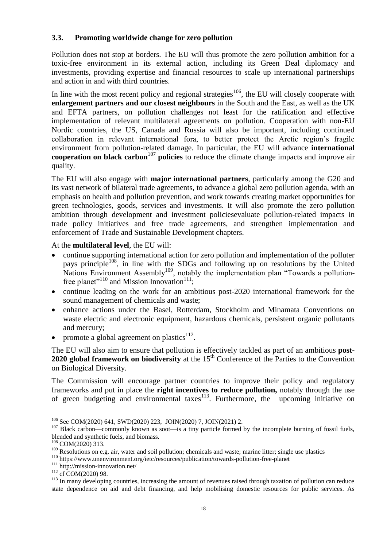# **3.3. Promoting worldwide change for zero pollution**

Pollution does not stop at borders. The EU will thus promote the zero pollution ambition for a toxic-free environment in its external action, including its Green Deal diplomacy and investments, providing expertise and financial resources to scale up international partnerships and action in and with third countries.

In line with the most recent policy and regional strategies<sup>106</sup>, the EU will closely cooperate with **enlargement partners and our closest neighbours** in the South and the East, as well as the UK and EFTA partners, on pollution challenges not least for the ratification and effective implementation of relevant multilateral agreements on pollution. Cooperation with non-EU Nordic countries, the US, Canada and Russia will also be important, including continued collaboration in relevant international fora, to better protect the Arctic region's fragile environment from pollution-related damage. In particular, the EU will advance **international cooperation on black carbon**<sup>107</sup> **policies** to reduce the climate change impacts and improve air quality.

The EU will also engage with **major international partners**, particularly among the G20 and its vast network of bilateral trade agreements, to advance a global zero pollution agenda, with an emphasis on health and pollution prevention, and work towards creating market opportunities for green technologies, goods, services and investments. It will also promote the zero pollution ambition through development and investment policiesevaluate pollution-related impacts in trade policy initiatives and free trade agreements, and strengthen implementation and enforcement of Trade and Sustainable Development chapters.

At the **multilateral level**, the EU will:

- continue supporting international action for zero pollution and implementation of the polluter pays principle<sup>108</sup>, in line with the SDGs and following up on resolutions by the United Nations Environment Assembly<sup>109</sup>, notably the implementation plan "Towards a pollutionfree planet"<sup>110</sup> and Mission Innovation<sup>111</sup>;
- continue leading on the work for an ambitious post-2020 international framework for the sound management of chemicals and waste;
- enhance actions under the Basel, Rotterdam, Stockholm and Minamata Conventions on waste electric and electronic equipment, hazardous chemicals, persistent organic pollutants and mercury;
- promote a global agreement on plastics $112$ .

The EU will also aim to ensure that pollution is effectively tackled as part of an ambitious **post-2020 global framework on biodiversity** at the 15<sup>th</sup> Conference of the Parties to the Convention on Biological Diversity.

The Commission will encourage partner countries to improve their policy and regulatory frameworks and put in place the **right incentives to reduce pollution,** notably through the use of green budgeting and environmental taxes<sup>113</sup>. Furthermore, the upcoming initiative on

 $\overline{a}$ <sup>106</sup> See COM(2020) 641, SWD(2020) 223, JOIN(2020) 7, JOIN(2021) 2.

<sup>&</sup>lt;sup>107</sup> Black carbon—commonly known as soot—is a tiny particle formed by the incomplete burning of fossil fuels, blended and synthetic fuels, and biomass.

<sup>108</sup> COM(2020) 313.

<sup>&</sup>lt;sup>109</sup> Resolutions on e.g. air, water and soil pollution; chemicals and waste; marine litter; single use plastics

<sup>110</sup> <https://www.unenvironment.org/ietc/resources/publication/towards-pollution-free-planet>

<sup>&</sup>lt;sup>111</sup> http://mission-innovation.net/

<sup>&</sup>lt;sup>112</sup> cf COM(2020) 98.

<sup>&</sup>lt;sup>113</sup> In many developing countries, increasing the amount of revenues raised through taxation of pollution can reduce state dependence on aid and debt financing, and help mobilising domestic resources for public services. As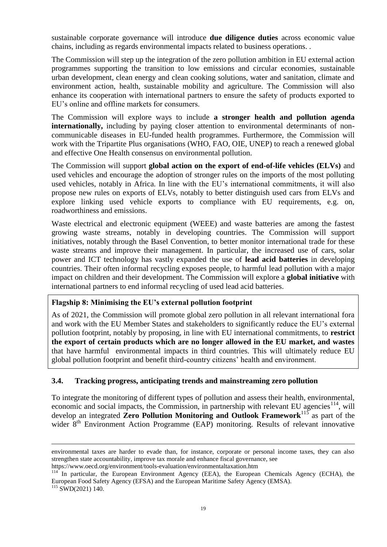sustainable corporate governance will introduce **due diligence duties** across economic value chains, including as regards environmental impacts related to business operations. .

The Commission will step up the integration of the zero pollution ambition in EU external action programmes supporting the transition to low emissions and circular economies, sustainable urban development, clean energy and clean cooking solutions, water and sanitation, climate and environment action, health, sustainable mobility and agriculture. The Commission will also enhance its cooperation with international partners to ensure the safety of products exported to EU's online and offline markets for consumers.

The Commission will explore ways to include **a stronger health and pollution agenda internationally,** including by paying closer attention to environmental determinants of noncommunicable diseases in EU-funded health programmes. Furthermore, the Commission will work with the Tripartite Plus organisations (WHO, FAO, OIE, UNEP) to reach a renewed global and effective One Health consensus on environmental pollution.

The Commission will support **global action on the export of end-of-life vehicles (ELVs)** and used vehicles and encourage the adoption of stronger rules on the imports of the most polluting used vehicles, notably in Africa. In line with the EU's international commitments, it will also propose new rules on exports of ELVs, notably to better distinguish used cars from ELVs and explore linking used vehicle exports to compliance with EU requirements, e.g. on, roadworthiness and emissions.

Waste electrical and electronic equipment (WEEE) and waste batteries are among the fastest growing waste streams, notably in developing countries. The Commission will support initiatives, notably through the Basel Convention, to better monitor international trade for these waste streams and improve their management. In particular, the increased use of cars, solar power and ICT technology has vastly expanded the use of **lead acid batteries** in developing countries. Their often informal recycling exposes people, to harmful lead pollution with a major impact on children and their development. The Commission will explore a **global initiative** with international partners to end informal recycling of used lead acid batteries.

### **Flagship 8: Minimising the EU's external pollution footprint**

As of 2021, the Commission will promote global zero pollution in all relevant international fora and work with the EU Member States and stakeholders to significantly reduce the EU's external pollution footprint, notably by proposing, in line with EU international commitments, to **restrict the export of certain products which are no longer allowed in the EU market, and wastes**  that have harmful environmental impacts in third countries. This will ultimately reduce EU global pollution footprint and benefit third-country citizens' health and environment.

### **3.4. Tracking progress, anticipating trends and mainstreaming zero pollution**

To integrate the monitoring of different types of pollution and assess their health, environmental, economic and social impacts, the Commission, in partnership with relevant EU agencies<sup>114</sup>, will develop an integrated **Zero Pollution Monitoring and Outlook Framework**<sup>115</sup> as part of the wider 8<sup>th</sup> Environment Action Programme (EAP) monitoring. Results of relevant innovative

environmental taxes are harder to evade than, for instance, corporate or personal income taxes, they can also strengthen state accountability, improve tax morale and enhance fiscal governance, see

<https://www.oecd.org/environment/tools-evaluation/environmentaltaxation.htm>

 $114$ <sup>114</sup> In particular, the European Environment Agency (EEA), the European Chemicals Agency (ECHA), the European Food Safety Agency (EFSA) and the European Maritime Safety Agency (EMSA). <sup>115</sup> SWD(2021) 140.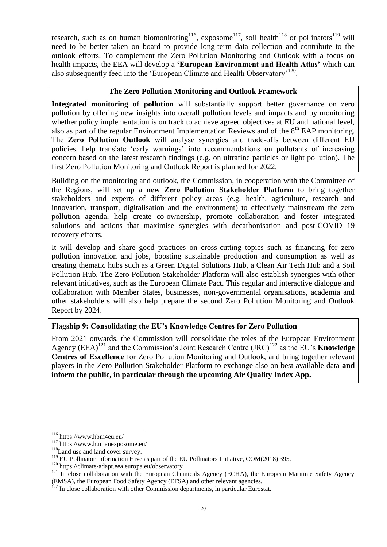research, such as on human biomonitoring<sup>116</sup>, exposome<sup>117</sup>, soil health<sup>118</sup> or pollinators<sup>119</sup> will need to be better taken on board to provide long-term data collection and contribute to the outlook efforts. To complement the Zero Pollution Monitoring and Outlook with a focus on health impacts, the EEA will develop a **'European Environment and Health Atlas'** which can also subsequently feed into the 'European Climate and Health Observatory'<sup>120</sup>.

# **The Zero Pollution Monitoring and Outlook Framework**

**Integrated monitoring of pollution** will substantially support better governance on zero pollution by offering new insights into overall pollution levels and impacts and by monitoring whether policy implementation is on track to achieve agreed objectives at EU and national level, also as part of the regular Environment Implementation Reviews and of the  $8<sup>th</sup>$  EAP monitoring. The **Zero Pollution Outlook** will analyse synergies and trade-offs between different EU policies, help translate 'early warnings' into recommendations on pollutants of increasing concern based on the latest research findings (e.g. on ultrafine particles or light pollution). The first Zero Pollution Monitoring and Outlook Report is planned for 2022.

Building on the monitoring and outlook, the Commission, in cooperation with the Committee of the Regions, will set up a **new Zero Pollution Stakeholder Platform** to bring together stakeholders and experts of different policy areas (e.g. health, agriculture, research and innovation, transport, digitalisation and the environment) to effectively mainstream the zero pollution agenda, help create co-ownership, promote collaboration and foster integrated solutions and actions that maximise synergies with decarbonisation and post-COVID 19 recovery efforts.

It will develop and share good practices on cross-cutting topics such as financing for zero pollution innovation and jobs, boosting sustainable production and consumption as well as creating thematic hubs such as a Green Digital Solutions Hub, a Clean Air Tech Hub and a Soil Pollution Hub. The Zero Pollution Stakeholder Platform will also establish synergies with other relevant initiatives, such as the European Climate Pact. This regular and interactive dialogue and collaboration with Member States, businesses, non-governmental organisations, academia and other stakeholders will also help prepare the second Zero Pollution Monitoring and Outlook Report by 2024.

# **Flagship 9: Consolidating the EU's Knowledge Centres for Zero Pollution**

From 2021 onwards, the Commission will consolidate the roles of the European Environment Agency  $(EEA)^{121}$  and the Commission's Joint Research Centre  $(IRC)^{122}$  as the EU's **Knowledge Centres of Excellence** for Zero Pollution Monitoring and Outlook, and bring together relevant players in the Zero Pollution Stakeholder Platform to exchange also on best available data **and inform the public, in particular through the upcoming Air Quality Index App.**

<sup>116</sup> <https://www.hbm4eu.eu/>

<sup>117</sup> <https://www.humanexposome.eu/>

<sup>&</sup>lt;sup>118</sup>[Land use and land cover survey.](https://ec.europa.eu/eurostat/statistics-explained/index.php/LUCAS_-_Land_use_and_land_cover_survey)

<sup>&</sup>lt;sup>119</sup> EU Pollinator Information Hive as part of the EU Pollinators Initiative, COM(2018) 395.

<sup>120</sup> https://climate-adapt.eea.europa.eu/observatory

 $121$  In close collaboration with the European Chemicals Agency (ECHA), the European Maritime Safety Agency (EMSA), the European Food Safety Agency (EFSA) and other relevant agencies.

<sup>&</sup>lt;sup>122</sup> In close collaboration with other Commission departments, in particular Eurostat.